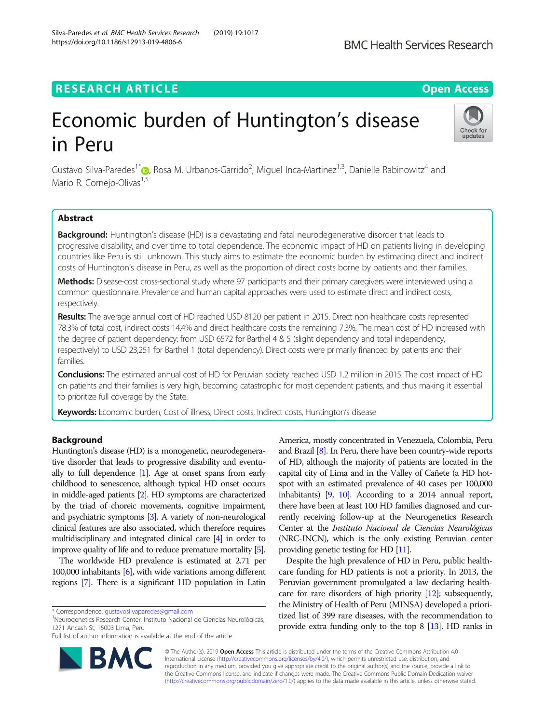## **RESEARCH ARTICLE Example 2014 CONSIDERING A RESEARCH ARTICLE**

# Economic burden of Huntington's disease in Peru

Gustavo Silva-Paredes<sup>1[\\*](http://orcid.org/0000-0001-6132-2239)</sup> $\bullet$ , Rosa M. Urbanos-Garrido<sup>2</sup>, Miguel Inca-Martinez<sup>1,3</sup>, Danielle Rabinowitz<sup>4</sup> and Mario R. Cornejo-Olivas<sup>1,5</sup>

### Abstract

**Background:** Huntington's disease (HD) is a devastating and fatal neurodegenerative disorder that leads to progressive disability, and over time to total dependence. The economic impact of HD on patients living in developing countries like Peru is still unknown. This study aims to estimate the economic burden by estimating direct and indirect costs of Huntington's disease in Peru, as well as the proportion of direct costs borne by patients and their families.

Methods: Disease-cost cross-sectional study where 97 participants and their primary caregivers were interviewed using a common questionnaire. Prevalence and human capital approaches were used to estimate direct and indirect costs, respectively.

Results: The average annual cost of HD reached USD 8120 per patient in 2015. Direct non-healthcare costs represented 78.3% of total cost, indirect costs 14.4% and direct healthcare costs the remaining 7.3%. The mean cost of HD increased with the degree of patient dependency: from USD 6572 for Barthel 4 & 5 (slight dependency and total independency, respectively) to USD 23,251 for Barthel 1 (total dependency). Direct costs were primarily financed by patients and their families.

Conclusions: The estimated annual cost of HD for Peruvian society reached USD 1.2 million in 2015. The cost impact of HD on patients and their families is very high, becoming catastrophic for most dependent patients, and thus making it essential to prioritize full coverage by the State.

Keywords: Economic burden, Cost of illness, Direct costs, Indirect costs, Huntington's disease

### Background

Huntington's disease (HD) is a monogenetic, neurodegenerative disorder that leads to progressive disability and eventually to full dependence [\[1](#page-8-0)]. Age at onset spans from early childhood to senescence, although typical HD onset occurs in middle-aged patients [\[2\]](#page-8-0). HD symptoms are characterized by the triad of choreic movements, cognitive impairment, and psychiatric symptoms [[3](#page-8-0)]. A variety of non-neurological clinical features are also associated, which therefore requires multidisciplinary and integrated clinical care [\[4\]](#page-8-0) in order to improve quality of life and to reduce premature mortality [[5](#page-8-0)].

The worldwide HD prevalence is estimated at 2.71 per 100,000 inhabitants [\[6\]](#page-8-0), with wide variations among different regions [[7](#page-8-0)]. There is a significant HD population in Latin

<sup>1</sup>Neurogenetics Research Center, Instituto Nacional de Ciencias Neurológicas, 1271 Ancash St, 15003 Lima, Peru

of HD, although the majority of patients are located in the capital city of Lima and in the Valley of Cañete (a HD hotspot with an estimated prevalence of 40 cases per 100,000 inhabitants) [\[9](#page-8-0), [10\]](#page-8-0). According to a 2014 annual report, there have been at least 100 HD families diagnosed and currently receiving follow-up at the Neurogenetics Research Center at the Instituto Nacional de Ciencias Neurológicas (NRC-INCN), which is the only existing Peruvian center providing genetic testing for HD [\[11\]](#page-8-0). Despite the high prevalence of HD in Peru, public health-

America, mostly concentrated in Venezuela, Colombia, Peru and Brazil [\[8\]](#page-8-0). In Peru, there have been country-wide reports

care funding for HD patients is not a priority. In 2013, the Peruvian government promulgated a law declaring healthcare for rare disorders of high priority [\[12\]](#page-8-0); subsequently, the Ministry of Health of Peru (MINSA) developed a prioritized list of 399 rare diseases, with the recommendation to provide extra funding only to the top 8 [\[13\]](#page-8-0). HD ranks in

© The Author(s). 2019 Open Access This article is distributed under the terms of the Creative Commons Attribution 4.0 International License [\(http://creativecommons.org/licenses/by/4.0/](http://creativecommons.org/licenses/by/4.0/)), which permits unrestricted use, distribution, and reproduction in any medium, provided you give appropriate credit to the original author(s) and the source, provide a link to the Creative Commons license, and indicate if changes were made. The Creative Commons Public Domain Dedication waiver [\(http://creativecommons.org/publicdomain/zero/1.0/](http://creativecommons.org/publicdomain/zero/1.0/)) applies to the data made available in this article, unless otherwise stated.





undate

<sup>\*</sup> Correspondence: [gustavosilvaparedes@gmail.com](mailto:gustavosilvaparedes@gmail.com) <sup>1</sup>

Full list of author information is available at the end of the article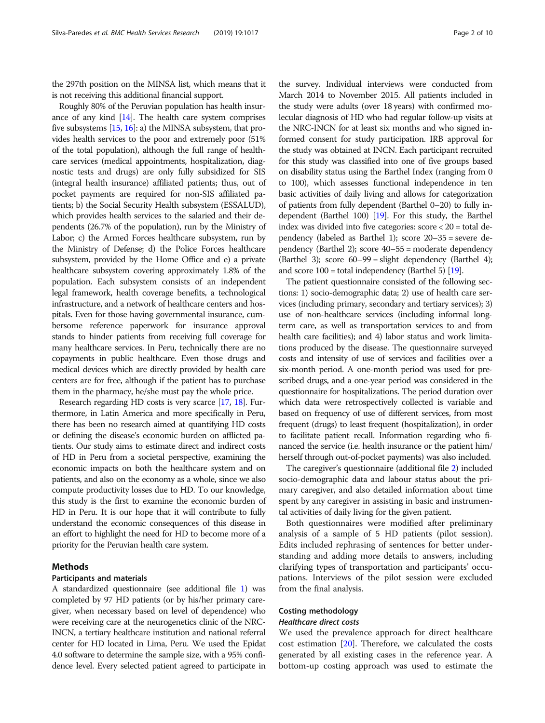the 297th position on the MINSA list, which means that it is not receiving this additional financial support.

Roughly 80% of the Peruvian population has health insurance of any kind  $[14]$  $[14]$ . The health care system comprises five subsystems [\[15,](#page-8-0) [16\]](#page-8-0): a) the MINSA subsystem, that provides health services to the poor and extremely poor (51% of the total population), although the full range of healthcare services (medical appointments, hospitalization, diagnostic tests and drugs) are only fully subsidized for SIS (integral health insurance) affiliated patients; thus, out of pocket payments are required for non-SIS affiliated patients; b) the Social Security Health subsystem (ESSALUD), which provides health services to the salaried and their dependents (26.7% of the population), run by the Ministry of Labor; c) the Armed Forces healthcare subsystem, run by the Ministry of Defense; d) the Police Forces healthcare subsystem, provided by the Home Office and e) a private healthcare subsystem covering approximately 1.8% of the population. Each subsystem consists of an independent legal framework, health coverage benefits, a technological infrastructure, and a network of healthcare centers and hospitals. Even for those having governmental insurance, cumbersome reference paperwork for insurance approval stands to hinder patients from receiving full coverage for many healthcare services. In Peru, technically there are no copayments in public healthcare. Even those drugs and medical devices which are directly provided by health care centers are for free, although if the patient has to purchase them in the pharmacy, he/she must pay the whole price.

Research regarding HD costs is very scarce [\[17,](#page-8-0) [18](#page-8-0)]. Furthermore, in Latin America and more specifically in Peru, there has been no research aimed at quantifying HD costs or defining the disease's economic burden on afflicted patients. Our study aims to estimate direct and indirect costs of HD in Peru from a societal perspective, examining the economic impacts on both the healthcare system and on patients, and also on the economy as a whole, since we also compute productivity losses due to HD. To our knowledge, this study is the first to examine the economic burden of HD in Peru. It is our hope that it will contribute to fully understand the economic consequences of this disease in an effort to highlight the need for HD to become more of a priority for the Peruvian health care system.

#### Methods

#### Participants and materials

A standardized questionnaire (see additional file [1\)](#page-8-0) was completed by 97 HD patients (or by his/her primary caregiver, when necessary based on level of dependence) who were receiving care at the neurogenetics clinic of the NRC-INCN, a tertiary healthcare institution and national referral center for HD located in Lima, Peru. We used the Epidat 4.0 software to determine the sample size, with a 95% confidence level. Every selected patient agreed to participate in

the survey. Individual interviews were conducted from March 2014 to November 2015. All patients included in the study were adults (over 18 years) with confirmed molecular diagnosis of HD who had regular follow-up visits at the NRC-INCN for at least six months and who signed informed consent for study participation. IRB approval for the study was obtained at INCN. Each participant recruited for this study was classified into one of five groups based on disability status using the Barthel Index (ranging from 0 to 100), which assesses functional independence in ten basic activities of daily living and allows for categorization of patients from fully dependent (Barthel 0–20) to fully independent (Barthel 100) [[19](#page-8-0)]. For this study, the Barthel index was divided into five categories: score < 20 = total dependency (labeled as Barthel 1); score 20–35 = severe dependency (Barthel 2); score 40–55 = moderate dependency (Barthel 3); score 60–99 = slight dependency (Barthel 4); and score  $100 =$  total independency (Barthel 5) [\[19\]](#page-8-0).

The patient questionnaire consisted of the following sections: 1) socio-demographic data; 2) use of health care services (including primary, secondary and tertiary services); 3) use of non-healthcare services (including informal longterm care, as well as transportation services to and from health care facilities); and 4) labor status and work limitations produced by the disease. The questionnaire surveyed costs and intensity of use of services and facilities over a six-month period. A one-month period was used for prescribed drugs, and a one-year period was considered in the questionnaire for hospitalizations. The period duration over which data were retrospectively collected is variable and based on frequency of use of different services, from most frequent (drugs) to least frequent (hospitalization), in order to facilitate patient recall. Information regarding who financed the service (i.e. health insurance or the patient him/ herself through out-of-pocket payments) was also included.

The caregiver's questionnaire (additional file [2](#page-8-0)) included socio-demographic data and labour status about the primary caregiver, and also detailed information about time spent by any caregiver in assisting in basic and instrumental activities of daily living for the given patient.

Both questionnaires were modified after preliminary analysis of a sample of 5 HD patients (pilot session). Edits included rephrasing of sentences for better understanding and adding more details to answers, including clarifying types of transportation and participants' occupations. Interviews of the pilot session were excluded from the final analysis.

#### Costing methodology Healthcare direct costs

We used the prevalence approach for direct healthcare cost estimation [\[20](#page-8-0)]. Therefore, we calculated the costs generated by all existing cases in the reference year. A bottom-up costing approach was used to estimate the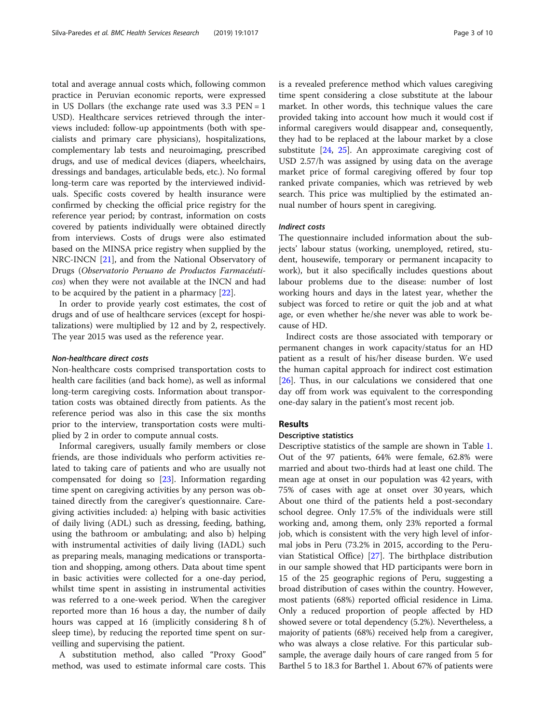total and average annual costs which, following common practice in Peruvian economic reports, were expressed in US Dollars (the exchange rate used was  $3.3$  PEN = 1 USD). Healthcare services retrieved through the interviews included: follow-up appointments (both with specialists and primary care physicians), hospitalizations, complementary lab tests and neuroimaging, prescribed drugs, and use of medical devices (diapers, wheelchairs, dressings and bandages, articulable beds, etc.). No formal long-term care was reported by the interviewed individuals. Specific costs covered by health insurance were confirmed by checking the official price registry for the reference year period; by contrast, information on costs covered by patients individually were obtained directly from interviews. Costs of drugs were also estimated based on the MINSA price registry when supplied by the NRC-INCN [\[21](#page-8-0)], and from the National Observatory of Drugs (Observatorio Peruano de Productos Farmacéuticos) when they were not available at the INCN and had to be acquired by the patient in a pharmacy [\[22](#page-8-0)].

In order to provide yearly cost estimates, the cost of drugs and of use of healthcare services (except for hospitalizations) were multiplied by 12 and by 2, respectively. The year 2015 was used as the reference year.

#### Non-healthcare direct costs

Non-healthcare costs comprised transportation costs to health care facilities (and back home), as well as informal long-term caregiving costs. Information about transportation costs was obtained directly from patients. As the reference period was also in this case the six months prior to the interview, transportation costs were multiplied by 2 in order to compute annual costs.

Informal caregivers, usually family members or close friends, are those individuals who perform activities related to taking care of patients and who are usually not compensated for doing so [\[23](#page-8-0)]. Information regarding time spent on caregiving activities by any person was obtained directly from the caregiver's questionnaire. Caregiving activities included: a) helping with basic activities of daily living (ADL) such as dressing, feeding, bathing, using the bathroom or ambulating; and also b) helping with instrumental activities of daily living (IADL) such as preparing meals, managing medications or transportation and shopping, among others. Data about time spent in basic activities were collected for a one-day period, whilst time spent in assisting in instrumental activities was referred to a one-week period. When the caregiver reported more than 16 hous a day, the number of daily hours was capped at 16 (implicitly considering 8 h of sleep time), by reducing the reported time spent on surveilling and supervising the patient.

A substitution method, also called "Proxy Good" method, was used to estimate informal care costs. This is a revealed preference method which values caregiving time spent considering a close substitute at the labour market. In other words, this technique values the care provided taking into account how much it would cost if informal caregivers would disappear and, consequently, they had to be replaced at the labour market by a close substitute  $[24, 25]$  $[24, 25]$  $[24, 25]$  $[24, 25]$  $[24, 25]$ . An approximate caregiving cost of USD 2.57/h was assigned by using data on the average market price of formal caregiving offered by four top ranked private companies, which was retrieved by web search. This price was multiplied by the estimated annual number of hours spent in caregiving.

#### Indirect costs

The questionnaire included information about the subjects' labour status (working, unemployed, retired, student, housewife, temporary or permanent incapacity to work), but it also specifically includes questions about labour problems due to the disease: number of lost working hours and days in the latest year, whether the subject was forced to retire or quit the job and at what age, or even whether he/she never was able to work because of HD.

Indirect costs are those associated with temporary or permanent changes in work capacity/status for an HD patient as a result of his/her disease burden. We used the human capital approach for indirect cost estimation [[26\]](#page-8-0). Thus, in our calculations we considered that one day off from work was equivalent to the corresponding one-day salary in the patient's most recent job.

### Results

#### Descriptive statistics

Descriptive statistics of the sample are shown in Table [1](#page-3-0). Out of the 97 patients, 64% were female, 62.8% were married and about two-thirds had at least one child. The mean age at onset in our population was 42 years, with 75% of cases with age at onset over 30 years, which About one third of the patients held a post-secondary school degree. Only 17.5% of the individuals were still working and, among them, only 23% reported a formal job, which is consistent with the very high level of informal jobs in Peru (73.2% in 2015, according to the Peruvian Statistical Office) [\[27](#page-8-0)]. The birthplace distribution in our sample showed that HD participants were born in 15 of the 25 geographic regions of Peru, suggesting a broad distribution of cases within the country. However, most patients (68%) reported official residence in Lima. Only a reduced proportion of people affected by HD showed severe or total dependency (5.2%). Nevertheless, a majority of patients (68%) received help from a caregiver, who was always a close relative. For this particular subsample, the average daily hours of care ranged from 5 for Barthel 5 to 18.3 for Barthel 1. About 67% of patients were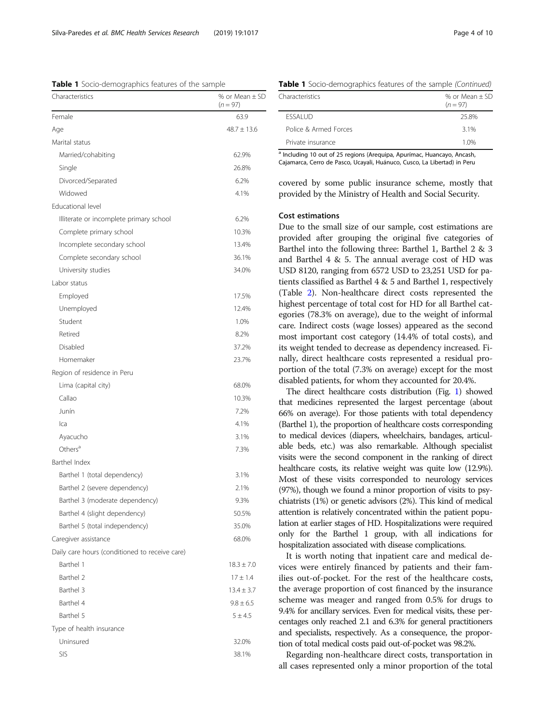<span id="page-3-0"></span>Table 1 Socio-demographics features of the sample

| Characteristics                                | % or Mean $\pm$ SD<br>$(n = 97)$ |
|------------------------------------------------|----------------------------------|
| Female                                         | 63.9                             |
| Age                                            | $48.7 \pm 13.6$                  |
| Marital status                                 |                                  |
| Married/cohabiting                             | 62.9%                            |
| Single                                         | 26.8%                            |
| Divorced/Separated                             | 6.2%                             |
| Widowed                                        | 4.1%                             |
| Educational level                              |                                  |
| Illiterate or incomplete primary school        | 6.2%                             |
| Complete primary school                        | 10.3%                            |
| Incomplete secondary school                    | 13.4%                            |
| Complete secondary school                      | 36.1%                            |
| University studies                             | 34.0%                            |
| Labor status                                   |                                  |
| Employed                                       | 17.5%                            |
| Unemployed                                     | 12.4%                            |
| Student                                        | 1.0%                             |
| Retired                                        | 8.2%                             |
| Disabled                                       | 37.2%                            |
| Homemaker                                      | 23.7%                            |
| Region of residence in Peru                    |                                  |
| Lima (capital city)                            | 68.0%                            |
| Callao                                         | 10.3%                            |
| Junín                                          | 7.2%                             |
| Ica                                            | 4.1%                             |
| Ayacucho                                       | 3.1%                             |
| Others <sup>a</sup>                            | 7.3%                             |
| Barthel Index                                  |                                  |
| Barthel 1 (total dependency)                   | 3.1%                             |
| Barthel 2 (severe dependency)                  | 2.1%                             |
| Barthel 3 (moderate dependency)                | 9.3%                             |
| Barthel 4 (slight dependency)                  | 50.5%                            |
| Barthel 5 (total independency)                 | 35.0%                            |
| Caregiver assistance                           | 68.0%                            |
| Daily care hours (conditioned to receive care) |                                  |
| Barthel 1                                      | $18.3 \pm 7.0$                   |
| Barthel <sub>2</sub>                           | $17 \pm 1.4$                     |
| Barthel 3                                      | $13.4 \pm 3.7$                   |
| Barthel 4                                      | $9.8 \pm 6.5$                    |
| Barthel 5                                      | $5 + 4.5$                        |
| Type of health insurance                       |                                  |
| Uninsured                                      | 32.0%                            |
| <b>SIS</b>                                     | 38.1%                            |

| Table 1 Socio-demographics features of the sample (Continued) |  |  |  |  |
|---------------------------------------------------------------|--|--|--|--|
|---------------------------------------------------------------|--|--|--|--|

| Characteristics       | % or Mean $\pm$ SD<br>$(n = 97)$ |
|-----------------------|----------------------------------|
| <b>FSSALUD</b>        | 25.8%                            |
| Police & Armed Forces | 31%                              |
| Private insurance     | 10%                              |

<sup>a</sup> Including 10 out of 25 regions (Arequipa, Apurímac, Huancayo, Ancash, Cajamarca, Cerro de Pasco, Ucayali, Huánuco, Cusco, La Libertad) in Peru

covered by some public insurance scheme, mostly that provided by the Ministry of Health and Social Security.

#### Cost estimations

Due to the small size of our sample, cost estimations are provided after grouping the original five categories of Barthel into the following three: Barthel 1, Barthel 2 & 3 and Barthel 4 & 5. The annual average cost of HD was USD 8120, ranging from 6572 USD to 23,251 USD for patients classified as Barthel 4 & 5 and Barthel 1, respectively (Table [2\)](#page-4-0). Non-healthcare direct costs represented the highest percentage of total cost for HD for all Barthel categories (78.3% on average), due to the weight of informal care. Indirect costs (wage losses) appeared as the second most important cost category (14.4% of total costs), and its weight tended to decrease as dependency increased. Finally, direct healthcare costs represented a residual proportion of the total (7.3% on average) except for the most disabled patients, for whom they accounted for 20.4%.

The direct healthcare costs distribution (Fig. [1\)](#page-4-0) showed that medicines represented the largest percentage (about 66% on average). For those patients with total dependency (Barthel 1), the proportion of healthcare costs corresponding to medical devices (diapers, wheelchairs, bandages, articulable beds, etc.) was also remarkable. Although specialist visits were the second component in the ranking of direct healthcare costs, its relative weight was quite low (12.9%). Most of these visits corresponded to neurology services (97%), though we found a minor proportion of visits to psychiatrists (1%) or genetic advisors (2%). This kind of medical attention is relatively concentrated within the patient population at earlier stages of HD. Hospitalizations were required only for the Barthel 1 group, with all indications for hospitalization associated with disease complications.

It is worth noting that inpatient care and medical devices were entirely financed by patients and their families out-of-pocket. For the rest of the healthcare costs, the average proportion of cost financed by the insurance scheme was meager and ranged from 0.5% for drugs to 9.4% for ancillary services. Even for medical visits, these percentages only reached 2.1 and 6.3% for general practitioners and specialists, respectively. As a consequence, the proportion of total medical costs paid out-of-pocket was 98.2%.

Regarding non-healthcare direct costs, transportation in all cases represented only a minor proportion of the total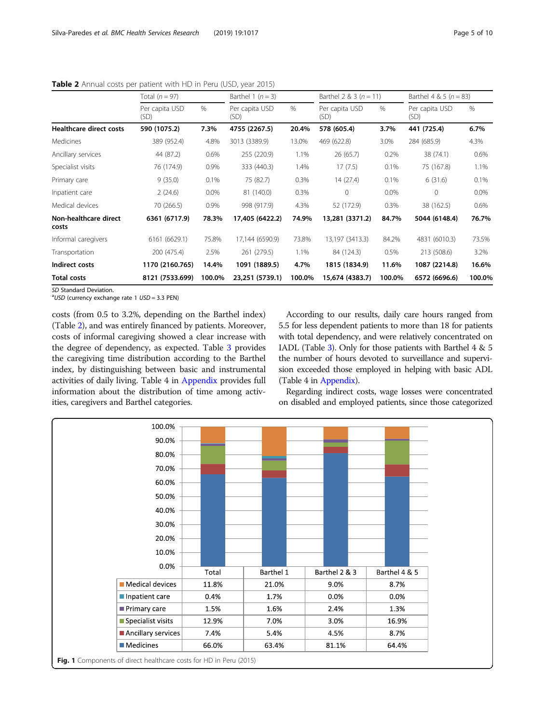|                                | Total $(n = 97)$       |         | Barthel 1 $(n=3)$      |        | Barthel 2 & 3 $(n = 11)$ |         | Barthel 4 & 5 ( $n = 83$ ) |        |
|--------------------------------|------------------------|---------|------------------------|--------|--------------------------|---------|----------------------------|--------|
|                                | Per capita USD<br>(SD) | $\%$    | Per capita USD<br>(SD) | $\%$   | Per capita USD<br>(SD)   | $\%$    | Per capita USD<br>(SD)     | $\%$   |
| <b>Healthcare direct costs</b> | 590 (1075.2)           | 7.3%    | 4755 (2267.5)          | 20.4%  | 578 (605.4)              | $3.7\%$ | 441 (725.4)                | 6.7%   |
| Medicines                      | 389 (952.4)            | 4.8%    | 3013 (3389.9)          | 13.0%  | 469 (622.8)              | 3.0%    | 284 (685.9)                | 4.3%   |
| Ancillary services             | 44 (87.2)              | 0.6%    | 255 (220.9)            | 1.1%   | 26(65.7)                 | 0.2%    | 38 (74.1)                  | 0.6%   |
| Specialist visits              | 76 (174.9)             | 0.9%    | 333 (440.3)            | 1.4%   | 17(7.5)                  | 0.1%    | 75 (167.8)                 | 1.1%   |
| Primary care                   | 9(35.0)                | 0.1%    | 75 (82.7)              | 0.3%   | 14(27.4)                 | 0.1%    | 6(31.6)                    | 0.1%   |
| Inpatient care                 | 2(24.6)                | $0.0\%$ | 81 (140.0)             | 0.3%   | $\mathbf{0}$             | $0.0\%$ | 0                          | 0.0%   |
| Medical devices                | 70 (266.5)             | 0.9%    | 998 (917.9)            | 4.3%   | 52 (172.9)               | 0.3%    | 38 (162.5)                 | 0.6%   |
| Non-healthcare direct<br>costs | 6361 (6717.9)          | 78.3%   | 17,405 (6422.2)        | 74.9%  | 13,281 (3371.2)          | 84.7%   | 5044 (6148.4)              | 76.7%  |
| Informal caregivers            | 6161 (6629.1)          | 75.8%   | 17,144 (6590.9)        | 73.8%  | 13,197 (3413.3)          | 84.2%   | 4831 (6010.3)              | 73.5%  |
| Transportation                 | 200 (475.4)            | 2.5%    | 261 (279.5)            | 1.1%   | 84 (124.3)               | 0.5%    | 213 (508.6)                | 3.2%   |
| Indirect costs                 | 1170 (2160.765)        | 14.4%   | 1091 (1889.5)          | 4.7%   | 1815 (1834.9)            | 11.6%   | 1087 (2214.8)              | 16.6%  |
| <b>Total costs</b>             | 8121 (7533.699)        | 100.0%  | 23,251 (5739.1)        | 100.0% | 15,674 (4383.7)          | 100.0%  | 6572 (6696.6)              | 100.0% |

<span id="page-4-0"></span>Table 2 Annual costs per patient with HD in Peru (USD, year 2015)

SD Standard Deviation.

 $a$ USD (currency exchange rate 1 USD = 3.3 PEN)

costs (from 0.5 to 3.2%, depending on the Barthel index) (Table 2), and was entirely financed by patients. Moreover, costs of informal caregiving showed a clear increase with the degree of dependency, as expected. Table [3](#page-5-0) provides the caregiving time distribution according to the Barthel index, by distinguishing between basic and instrumental activities of daily living. Table 4 in [Appendix](#page-7-0) provides full information about the distribution of time among activities, caregivers and Barthel categories.

According to our results, daily care hours ranged from 5.5 for less dependent patients to more than 18 for patients with total dependency, and were relatively concentrated on IADL (Table [3\)](#page-5-0). Only for those patients with Barthel 4 & 5 the number of hours devoted to surveillance and supervision exceeded those employed in helping with basic ADL (Table 4 in [Appendix](#page-7-0)).

Regarding indirect costs, wage losses were concentrated on disabled and employed patients, since those categorized

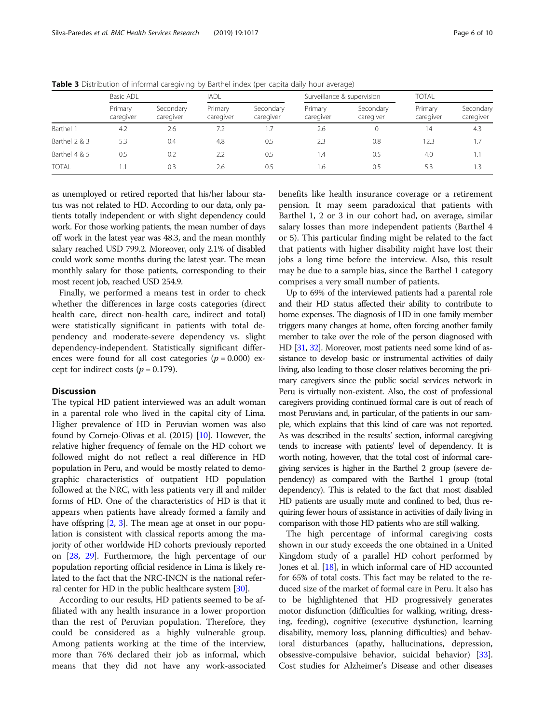|               | Basic ADL            |                        | <b>IADL</b>          |                        | Surveillance & supervision |                        | <b>TOTAL</b>         |                        |
|---------------|----------------------|------------------------|----------------------|------------------------|----------------------------|------------------------|----------------------|------------------------|
|               | Primary<br>caregiver | Secondary<br>caregiver | Primary<br>caregiver | Secondary<br>caregiver | Primary<br>caregiver       | Secondary<br>caregiver | Primary<br>caregiver | Secondary<br>caregiver |
| Barthel 1     | 4.2                  | 2.6                    | 7.2                  | . 7                    | 2.6                        |                        | 14                   | 4.3                    |
| Barthel 2 & 3 | 5.3                  | 0.4                    | 4.8                  | 0.5                    | 2.3                        | 0.8                    | 12.3                 | 1.7                    |
| Barthel 4 & 5 | 0.5                  | 0.2                    | 2.2                  | 0.5                    | 1.4                        | 0.5                    | 4.0                  | 1.1                    |
| <b>TOTAL</b>  |                      | 0.3                    | 2.6                  | 0.5                    | 1.6                        | 0.5                    | 5.3                  | 1.3                    |

<span id="page-5-0"></span>**Table 3** Distribution of informal caregiving by Barthel index (per capita daily hour average)

as unemployed or retired reported that his/her labour status was not related to HD. According to our data, only patients totally independent or with slight dependency could work. For those working patients, the mean number of days off work in the latest year was 48.3, and the mean monthly salary reached USD 799.2. Moreover, only 2.1% of disabled could work some months during the latest year. The mean monthly salary for those patients, corresponding to their most recent job, reached USD 254.9.

Finally, we performed a means test in order to check whether the differences in large costs categories (direct health care, direct non-health care, indirect and total) were statistically significant in patients with total dependency and moderate-severe dependency vs. slight dependency-independent. Statistically significant differences were found for all cost categories ( $p = 0.000$ ) except for indirect costs ( $p = 0.179$ ).

#### Discussion

The typical HD patient interviewed was an adult woman in a parental role who lived in the capital city of Lima. Higher prevalence of HD in Peruvian women was also found by Cornejo-Olivas et al. (2015) [[10](#page-8-0)]. However, the relative higher frequency of female on the HD cohort we followed might do not reflect a real difference in HD population in Peru, and would be mostly related to demographic characteristics of outpatient HD population followed at the NRC, with less patients very ill and milder forms of HD. One of the characteristics of HD is that it appears when patients have already formed a family and have offspring [[2](#page-8-0), [3\]](#page-8-0). The mean age at onset in our population is consistent with classical reports among the majority of other worldwide HD cohorts previously reported on [[28](#page-8-0), [29\]](#page-8-0). Furthermore, the high percentage of our population reporting official residence in Lima is likely related to the fact that the NRC-INCN is the national referral center for HD in the public healthcare system [\[30\]](#page-8-0).

According to our results, HD patients seemed to be affiliated with any health insurance in a lower proportion than the rest of Peruvian population. Therefore, they could be considered as a highly vulnerable group. Among patients working at the time of the interview, more than 76% declared their job as informal, which means that they did not have any work-associated benefits like health insurance coverage or a retirement pension. It may seem paradoxical that patients with Barthel 1, 2 or 3 in our cohort had, on average, similar salary losses than more independent patients (Barthel 4 or 5). This particular finding might be related to the fact that patients with higher disability might have lost their jobs a long time before the interview. Also, this result may be due to a sample bias, since the Barthel 1 category comprises a very small number of patients.

Up to 69% of the interviewed patients had a parental role and their HD status affected their ability to contribute to home expenses. The diagnosis of HD in one family member triggers many changes at home, often forcing another family member to take over the role of the person diagnosed with HD [\[31,](#page-9-0) [32\]](#page-9-0). Moreover, most patients need some kind of assistance to develop basic or instrumental activities of daily living, also leading to those closer relatives becoming the primary caregivers since the public social services network in Peru is virtually non-existent. Also, the cost of professional caregivers providing continued formal care is out of reach of most Peruvians and, in particular, of the patients in our sample, which explains that this kind of care was not reported. As was described in the results' section, informal caregiving tends to increase with patients' level of dependency. It is worth noting, however, that the total cost of informal caregiving services is higher in the Barthel 2 group (severe dependency) as compared with the Barthel 1 group (total dependency). This is related to the fact that most disabled HD patients are usually mute and confined to bed, thus requiring fewer hours of assistance in activities of daily living in comparison with those HD patients who are still walking.

The high percentage of informal caregiving costs shown in our study exceeds the one obtained in a United Kingdom study of a parallel HD cohort performed by Jones et al. [\[18\]](#page-8-0), in which informal care of HD accounted for 65% of total costs. This fact may be related to the reduced size of the market of formal care in Peru. It also has to be highlightened that HD progressively generates motor disfunction (difficulties for walking, writing, dressing, feeding), cognitive (executive dysfunction, learning disability, memory loss, planning difficulties) and behavioral disturbances (apathy, hallucinations, depression, obsessive-compulsive behavior, suicidal behavior) [[33](#page-9-0)]. Cost studies for Alzheimer's Disease and other diseases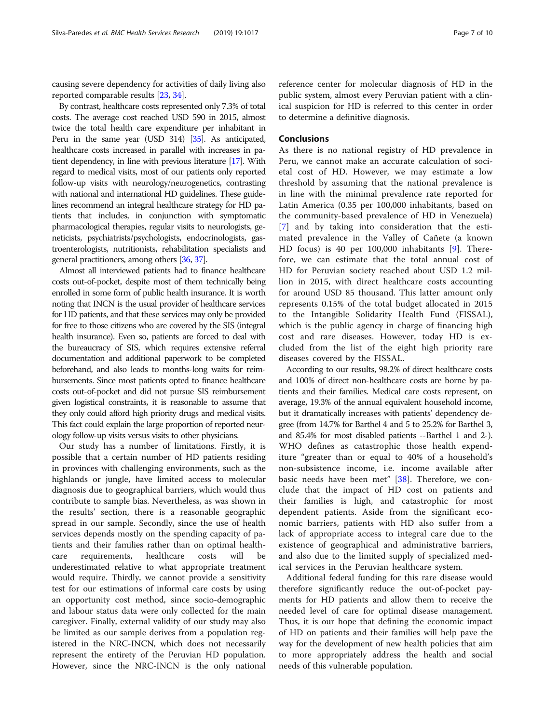causing severe dependency for activities of daily living also reported comparable results [\[23](#page-8-0), [34](#page-9-0)].

By contrast, healthcare costs represented only 7.3% of total costs. The average cost reached USD 590 in 2015, almost twice the total health care expenditure per inhabitant in Peru in the same year (USD 314) [[35\]](#page-9-0). As anticipated, healthcare costs increased in parallel with increases in patient dependency, in line with previous literature [\[17](#page-8-0)]. With regard to medical visits, most of our patients only reported follow-up visits with neurology/neurogenetics, contrasting with national and international HD guidelines. These guidelines recommend an integral healthcare strategy for HD patients that includes, in conjunction with symptomatic pharmacological therapies, regular visits to neurologists, geneticists, psychiatrists/psychologists, endocrinologists, gastroenterologists, nutritionists, rehabilitation specialists and general practitioners, among others [[36](#page-9-0), [37\]](#page-9-0).

Almost all interviewed patients had to finance healthcare costs out-of-pocket, despite most of them technically being enrolled in some form of public health insurance. It is worth noting that INCN is the usual provider of healthcare services for HD patients, and that these services may only be provided for free to those citizens who are covered by the SIS (integral health insurance). Even so, patients are forced to deal with the bureaucracy of SIS, which requires extensive referral documentation and additional paperwork to be completed beforehand, and also leads to months-long waits for reimbursements. Since most patients opted to finance healthcare costs out-of-pocket and did not pursue SIS reimbursement given logistical constraints, it is reasonable to assume that they only could afford high priority drugs and medical visits. This fact could explain the large proportion of reported neurology follow-up visits versus visits to other physicians.

Our study has a number of limitations. Firstly, it is possible that a certain number of HD patients residing in provinces with challenging environments, such as the highlands or jungle, have limited access to molecular diagnosis due to geographical barriers, which would thus contribute to sample bias. Nevertheless, as was shown in the results' section, there is a reasonable geographic spread in our sample. Secondly, since the use of health services depends mostly on the spending capacity of patients and their families rather than on optimal healthcare requirements, healthcare costs will be underestimated relative to what appropriate treatment would require. Thirdly, we cannot provide a sensitivity test for our estimations of informal care costs by using an opportunity cost method, since socio-demographic and labour status data were only collected for the main caregiver. Finally, external validity of our study may also be limited as our sample derives from a population registered in the NRC-INCN, which does not necessarily represent the entirety of the Peruvian HD population. However, since the NRC-INCN is the only national

reference center for molecular diagnosis of HD in the public system, almost every Peruvian patient with a clinical suspicion for HD is referred to this center in order to determine a definitive diagnosis.

#### Conclusions

As there is no national registry of HD prevalence in Peru, we cannot make an accurate calculation of societal cost of HD. However, we may estimate a low threshold by assuming that the national prevalence is in line with the minimal prevalence rate reported for Latin America (0.35 per 100,000 inhabitants, based on the community-based prevalence of HD in Venezuela) [[7](#page-8-0)] and by taking into consideration that the estimated prevalence in the Valley of Cañete (a known HD focus) is 40 per 100,000 inhabitants [\[9](#page-8-0)]. Therefore, we can estimate that the total annual cost of HD for Peruvian society reached about USD 1.2 million in 2015, with direct healthcare costs accounting for around USD 85 thousand. This latter amount only represents 0.15% of the total budget allocated in 2015 to the Intangible Solidarity Health Fund (FISSAL), which is the public agency in charge of financing high cost and rare diseases. However, today HD is excluded from the list of the eight high priority rare diseases covered by the FISSAL.

According to our results, 98.2% of direct healthcare costs and 100% of direct non-healthcare costs are borne by patients and their families. Medical care costs represent, on average, 19.3% of the annual equivalent household income, but it dramatically increases with patients' dependency degree (from 14.7% for Barthel 4 and 5 to 25.2% for Barthel 3, and 85.4% for most disabled patients --Barthel 1 and 2-). WHO defines as catastrophic those health expenditure "greater than or equal to 40% of a household's non-subsistence income, i.e. income available after basic needs have been met" [[38\]](#page-9-0). Therefore, we conclude that the impact of HD cost on patients and their families is high, and catastrophic for most dependent patients. Aside from the significant economic barriers, patients with HD also suffer from a lack of appropriate access to integral care due to the existence of geographical and administrative barriers, and also due to the limited supply of specialized medical services in the Peruvian healthcare system.

Additional federal funding for this rare disease would therefore significantly reduce the out-of-pocket payments for HD patients and allow them to receive the needed level of care for optimal disease management. Thus, it is our hope that defining the economic impact of HD on patients and their families will help pave the way for the development of new health policies that aim to more appropriately address the health and social needs of this vulnerable population.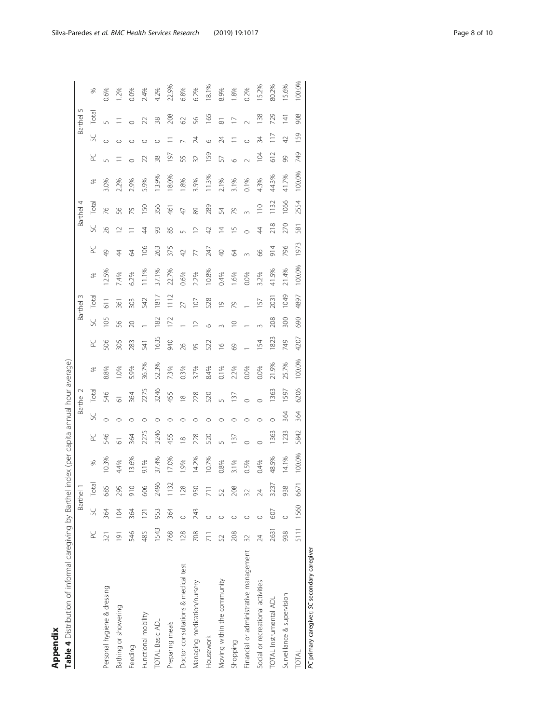Table 4 Distribution of informal caregiving by Barthel index (per capita annual hour average) Table 4 Distribution of informal caregiving by Barthel index (per capita annual hour average)

<span id="page-7-0"></span>

|                                              |                  |      | Barthel 1 |               |                 |     | Barthel <sub>2</sub>    |        |         |             | Barthel 3       |        |                |                | Barthel 4       |        |                |    | Barthel 5      |        |
|----------------------------------------------|------------------|------|-----------|---------------|-----------------|-----|-------------------------|--------|---------|-------------|-----------------|--------|----------------|----------------|-----------------|--------|----------------|----|----------------|--------|
|                                              | 2<br>P           | Š    | Total     | $\frac{8}{2}$ | 노               | SC  | Total                   | ℅      | 2       | S           | Total           | ℅      | PC             | SC             | Total           | ℅      | 오              | S  | Total          | ℅      |
| Personal hygiene & dressing                  | 321              | 364  | 685       | 10.3%         | 546             |     | 546                     | 8.8%   | 506     | 105         | $\overline{11}$ | 12.5%  | 49             | 26             | 26              | 3.0%   | S              |    | Ľn             | 0.6%   |
| Bathing or showering                         | $\overline{191}$ | 104  | 295       | 4.4%          | 5               |     | 5                       | 0%     | 305     | 56          | 361             | 7.4%   | $\overline{4}$ | $\mathbf{r}$   | 56              | 2.2%   |                |    |                | 1.2%   |
| Feeding                                      | 546              | 364  | 910       | 13.6%         | 364             |     | 364                     | 5.9%   | 283     | 20          | 303             | 5.2%   | 64             |                | 75              | 2.9%   |                |    |                | 0.0%   |
| Functional mobility                          | 485              | 121  | 606       | 9.1%          | 2275            |     | 2275                    | 36.7%  | 541     |             | 542             | 11.1%  | 106            | 4              | 50              | 5.9%   | 22             |    | 22             | 2.4%   |
| TOTAL Basic ADL                              | 1543             | 953  | 2496      | 37.4%         | 3246            |     | 3246                    | 52.3%  | 1635    | 182         | 1817            | 37.1%  | 263            | 93             | 356             | 13.9%  | 38             |    | 38             | 4.2%   |
| Preparing meals                              | 768              | 364  | 1132      | 17.0%         | 455             |     | 455                     | 7.3%   | 940     | 172         | 1112            | 22.7%  | 375            | 85             | 461             | 18.0%  | $\overline{6}$ |    | 208            | 22.9%  |
| Doctor consultations & medical test          | 128              |      | 128       | 1.9%          | $\frac{8}{10}$  |     | $\frac{\infty}{\infty}$ | 0.3%   | 26      |             | 27              | 0.6%   | 42             | 5              | 47              | 1.8%   | 55             |    | 2              | 6.8%   |
| Managing medication/nursery                  | 708              | 243  | 950       | 14.2%         | 228             |     | 228                     | 3.7%   | 95      | $\supseteq$ | 107             | 2.2%   | 77             | $\sim$         | 89              | 3.5%   | 32             | 24 | SS,            | 6.2%   |
| Housework                                    | 711              |      | 711       | 10.7%         | 520             |     | 520                     | 8.4%   | 522     | ७           | 528             | 10.8%  | 247            | 42             | 289             | 11.3%  | 159            | O  | 165            | 18.1%  |
| Moving within the community                  | 52               |      | 52        | 0.8%          |                 |     |                         | 0.1%   | $\circ$ |             | $\circ$         | 0.4%   | $\overline{Q}$ | $\overline{4}$ | 54              | 2.1%   | 57             | 24 | ಹ              | 8.9%   |
| Shopping                                     | 208              |      | 208       | 3.1%          | $\overline{37}$ |     | $\overline{37}$         | 2.2%   | 69      | $\supseteq$ | 29              | 1.6%   | 64             | S              | 29              | 3.1%   | O              |    |                | 1.8%   |
| Financial or administrative management       | 32               |      | $\Im$     | 0.5%          |                 |     |                         | 0.0%   |         |             |                 | 0.0%   |                | ⌒              |                 | 0.1%   |                |    |                | 0.2%   |
| Social or recreational activities            | 24               |      | 24        | 0.4%          |                 |     |                         | 0.0%   | 54      |             | 57              | 3.2%   | 66             | 44             | $\overline{10}$ | 4.3%   | $\overline{5}$ | 34 | 138            | 15.2%  |
| TOTAL Instrumental ADL                       | 2631             | 607  | 3237      | 48.5%         | 1363            |     | 1363                    | 21.9%  | 1823    | 208         | 2031            | 41.5%  | 914            | 218            | 1132            | 44.3%  | 612            | Ξ  | 729            | 80.2%  |
| Surveillance & supervision                   | 938              |      | 938       | 14.1%         | 1233            | 364 | 597                     | 25.7%  | 749     | 300         | 670             | 21.4%  | 796            | 270            | 1066            | 41.7%  | 99             | 42 | $\overline{4}$ | 15.6%  |
| TOTAL                                        | 5111             | 1560 | 6671      | 100.0%        | 5842            | 364 | 6206                    | 100.0% | 4207    | 690         | 4897            | 100.0% | 1973           | 581            | 2554            | 100.0% | 749            | 59 | 908            | 100.0% |
| DC primanı caroniyor: SC cocondanı caroniyor |                  |      |           |               |                 |     |                         |        |         |             |                 |        |                |                |                 |        |                |    |                |        |

PC primary caregiver; SC secondary caregiver PU Dario Nederous Control Network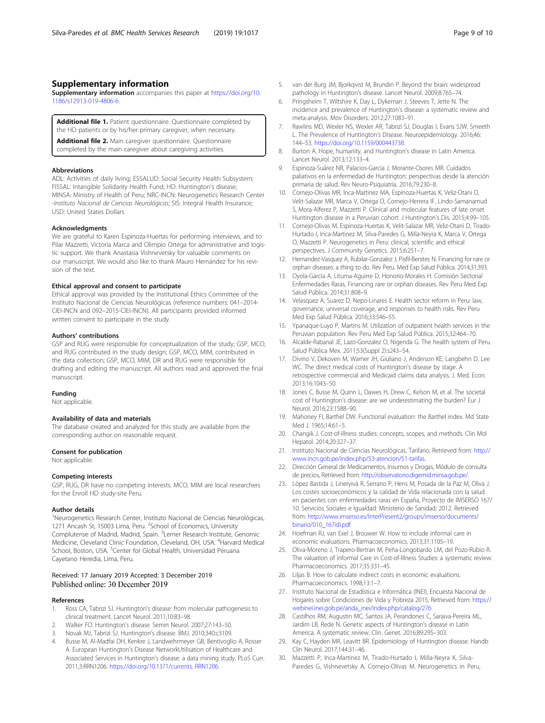#### <span id="page-8-0"></span>Supplementary information

Supplementary information accompanies this paper at [https://doi.org/10.](https://doi.org/10.1186/s12913-019-4806-6) [1186/s12913-019-4806-6.](https://doi.org/10.1186/s12913-019-4806-6)

Additional file 1. Patient questionnaire. Questionnaire completed by the HD patients or by his/her primary caregiver, when necessary.

Additional file 2. Main caregiver questionnaire. Questionnaire completed by the main caregiver about caregiving activities.

#### Abbreviations

ADL: Activities of daily living; ESSALUD: Social Security Health Subsystem; FISSAL: Intangible Solidarity Health Fund; HD: Huntington's disease; MINSA: Ministry of Health of Peru; NRC-INCN: Neurogenetics Research Center -Instituto Nacional de Ciencias Neurológicas; SIS: Integral Health Insurance; USD: United States Dollars

#### Acknowledgments

We are grateful to Karen Espinoza-Huertas for performing interviews, and to Pilar Mazzetti, Victoria Marca and Olimpio Ortega for administrative and logistic support. We thank Anastasia Vishnevetsky for valuable comments on our manuscript. We would also like to thank Mauro Hernández for his revision of the text.

#### Ethical approval and consent to participate

Ethical approval was provided by the Institutional Ethics Committee of the Instituto Nacional de Ciencias Neurológicas (reference numbers: 041–2014- CIEI-INCN and 092–2015-CIEI-INCN). All participants provided informed written consent to participate in the study.

#### Authors' contributions

GSP and RUG were responsible for conceptualization of the study; GSP, MCO, and RUG contributed in the study design; GSP, MCO, MIM, contributed in the data collection; GSP, MCO, MIM, DR and RUG were responsible for drafting and editing the manuscript. All authors read and approved the final manuscript.

#### Funding

Not applicable.

#### Availability of data and materials

The database created and analyzed for this study are available from the corresponding author on reasonable request.

#### Consent for publication

Not applicable.

#### Competing interests

GSP, RUG, DR have no competing interests. MCO, MIM are local researchers for the Enroll HD study-site Peru.

#### Author details

<sup>1</sup>Neurogenetics Research Center, Instituto Nacional de Ciencias Neurológicas, 1271 Ancash St, 15003 Lima, Peru. <sup>2</sup>School of Economics, University Complutense of Madrid, Madrid, Spain. <sup>3</sup>Lerner Research Institute, Genomic Medicine, Cleveland Clinic Foundation, Cleveland, OH, USA. <sup>4</sup>Harvard Medical School, Boston, USA. <sup>5</sup>Center for Global Health, Universidad Peruana Cayetano Heredia, Lima, Peru.

# Received: 17 January 2019 Accepted: 3 December 2019

#### References

- 1. Ross CA, Tabrizi SJ. Huntington's disease: from molecular pathogenesis to clinical treatment. Lancet Neurol. 2011;10:83–98.
- 2. Walker FO. Huntington's disease. Semin Neurol. 2007;27:143–50.
- 3. Novak MJ, Tabrizi SJ. Huntington's disease. BMJ. 2010;340:c3109.
- 4. Busse M, Al-Madfai DH, Kenkre J, Landwehrmeyer GB, Bentivoglio A, Rosser A. European Huntington's Disease NetworkUtilisation of Healthcare and Associated Services in Huntington's disease: a data mining study. PLoS Curr. 2011;3:RRN1206. [https://doi.org/10.1371/currents. RRN1206.](https://doi.org/10.1371/currents. RRN1206)
- 5. van der Burg JM, Bjorkqvist M, Brundin P. Beyond the brain: widespread pathology in Huntington's disease. Lancet Neurol. 2009;8:765–74.
- 6. Pringsheim T, Wiltshire K, Day L, Dykeman J, Steeves T, Jette N. The incidence and prevalence of Huntington's disease: a systematic review and meta-analysis. Mov Disorders. 2012;27:1083–91.
- 7. Rawlins MD, Wexler NS, Wexler AR, Tabrizi SJ, Douglas I, Evans SJW, Smeeth L. The Prevalence of Huntington's Disease. Neuroepidemiology. 2016;46: 144–53. [https://doi.org/10.1159/000443738.](https://doi.org/10.1159/000443738)
- 8. Burton A. Hope, humanity, and Huntington's disease in Latin America. Lancet Neurol. 2013;12:133–4.
- 9. Espinoza-Suárez NR, Palacios-García J, Morante-Osores MR. Cuidados paliativos en la enfermedad de Huntington: perspectivas desde la atención primaria de salud. Rev Neuro-Psiquiatría. 2016;79:230–8.
- 10. Cornejo-Olivas MR, Inca-Martinez MA, Espinoza-Huertas K, Veliz-Otani D, Velit-Salazar MR, Marca V, Ortega O, Cornejo-Herrera IF, Lindo-Samanamud S, Mora-Alferez P, Mazzetti P. Clinical and molecular features of late onset Huntington disease in a Peruvian cohort. J Huntington's Dis. 2015;4:99–105.
- 11. Cornejo-Olivas M, Espinoza-Huertas K, Velit-Salazar MR, Veliz-Otani D, Tirado-Hurtado I, Inca-Martinez M, Silva-Paredes G, Milla-Neyra K, Marca V, Ortega O, Mazzetti P. Neurogenetics in Peru: clinical, scientific and ethical perspectives. J Community Genetics. 2015;6:251–7.
- 12. Hernandez-Vasquez A, Rubilar-Gonzalez J, Pisfil-Benites N. Financing for rare or orphan diseases: a thing to do. Rev Peru. Med Exp Salud Pública. 2014;31:393.
- 13. Oyola-García A, Lituma-Aguirre D, Honorio-Morales H. Comisión Sectorial Enfermedades Raras, Financing rare or orphan diseases. Rev Peru Med Exp Salud Pública. 2014;31:808–9.
- 14. Velasquez A, Suarez D, Nepo-Linares E. Health sector reform in Peru: law, governance, universal coverage, and responses to health risks. Rev Peru Med Exp Salud Pública. 2016;33:546–55.
- 15. Ypanaque-Luyo P, Martins M. Utilization of outpatient health services in the Peruvian population. Rev Peru Med Exp Salud Pública. 2015;32:464–70.
- 16. Alcalde-Rabanal JE, Lazo-Gonzalez O, Nigenda G. The health system of Peru. Salud Pública Mex. 2011;53(Suppl 2):s243–54.
- 17. Divino V, Dekoven M, Warner JH, Giuliano J, Anderson KE, Langbehn D, Lee WC. The direct medical costs of Huntington's disease by stage. A retrospective commercial and Medicaid claims data analysis. J. Med. Econ. 2013;16:1043–50.
- 18. Jones C, Busse M, Quinn L, Dawes H, Drew C, Kelson M, et al. The societal cost of Huntington's disease: are we underestimating the burden? Eur J Neurol. 2016;23:1588–90.
- 19. Mahoney FI, Barthel DW. Functional evaluation: the Barthel index. Md State Med J. 1965;14:61–5.
- 20. Changik J. Cost-of-illness studies: concepts, scopes, and methods. Clin Mol Hepatol. 2014;20:327–37.
- 21. Instituto Nacional de Ciencias Neurológicas, Tarifario, Retrieved from: [http://](http://www.incn.gob.pe/index.php/53-atencion/51-tarifas) [www.incn.gob.pe/index.php/53-atencion/51-tarifas](http://www.incn.gob.pe/index.php/53-atencion/51-tarifas).
- 22. Dirección General de Medicamentos, Insumos y Drogas, Módulo de consulta de precios, Retrieved from: http://observatorio.digemid.minsa.gob.pe/
- 23. López Bastida J, Lineryivá R, Serrano P, Hens M, Posada de la Paz M, Oliva J. Los costes socioeconómicos y la calidad de Vida relacionada con la salud en pacientes con enfermedades raras en España, Proyecto de IMSERSO 167/ 10. Servicios Sociales e Igualdad: Ministerio de Sanidad; 2012. Retrieved from: [http://www.imserso.es/InterPresent2/groups/imserso/documents/](http://www.imserso.es/InterPresent2/groups/imserso/documents/binario/010_167idi.pdf) [binario/010\\_167idi.pdf](http://www.imserso.es/InterPresent2/groups/imserso/documents/binario/010_167idi.pdf)
- 24. Hoefman RJ, van Exel J, Brouwer W. How to include informal care in economic evaluations. Pharmacoeconomics. 2013;31:1105–19.
- 25. Oliva-Moreno J, Trapero-Bertran M, Peña-Longobardo LM, del Pozo-Rubio R. The valuation of informal Care in Cost-of-Illness Studies: a systematic review. Pharmacoeconomics. 2017;35:331–45.
- 26. Liljas B. How to calculate indirect costs in economic evaluations. Pharmacoeconomics. 1998;13:1–7.
- 27. Instituto Nacional de Estadística e Informática (INEI), Encuesta Nacional de Hogares sobre Condiciones de Vida y Pobreza 2015, Retrieved from: [https://](https://webinei.inei.gob.pe/anda_inei/index.php/catalog/276) [webinei.inei.gob.pe/anda\\_inei/index.php/catalog/276](https://webinei.inei.gob.pe/anda_inei/index.php/catalog/276)
- 28. Castilhos RM, Augustin MC, Santos JA, Perandones C, Saraiva-Pereira ML, Jardim LB, Rede N. Genetic aspects of Huntington's disease in Latin America. A systematic review. Clin. Genet. 2016;89:295–303.
- 29. Kay C, Hayden MR, Leavitt BR. Epidemiology of Huntington disease. Handb Clin Neurol. 2017;144:31–46.
- 30. Mazzetti P, Inca-Martinez M, Tirado-Hurtado I, Milla-Neyra K, Silva-Paredes G, Vishnevetsky A, Cornejo-Olivas M. Neurogenetics in Peru,